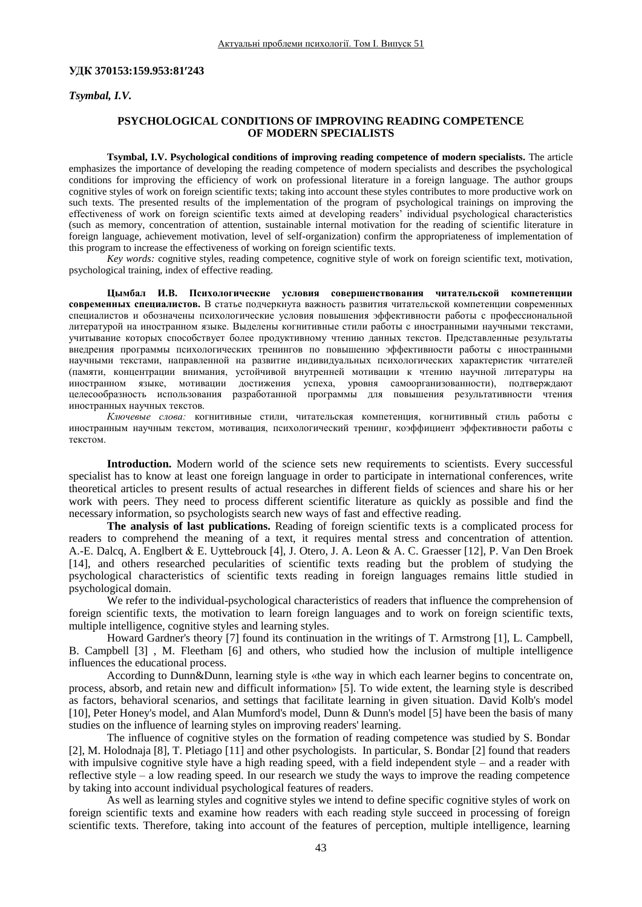## **УДК 370153:159.953:81243**

*Tsymbal, I.V.*

## **PSYCHOLOGICAL CONDITIONS OF IMPROVING READING COMPETENCE OF MODERN SPECIALISTS**

**Tsymbal, I.V. Psychological conditions of improving reading competence of modern specialists.** The article emphasizes the importance of developing the reading competence of modern specialists and describes the psychological conditions for improving the efficiency of work on professional literature in a foreign language. The author groups cognitive styles of work on foreign scientific texts; taking into account these styles contributes to more productive work on such texts. The presented results of the implementation of the program of psychological trainings on improving the effectiveness of work on foreign scientific texts aimed at developing readers' individual psychological characteristics (such as memory, concentration of attention, sustainable internal motivation for the reading of scientific literature in foreign language, achievement motivation, level of self-organization) confirm the appropriateness of implementation of this program to increase the effectiveness of working on foreign scientific texts.

*Key words:* cognitive styles, reading competence, cognitive style of work on foreign scientific text, motivation, psychological training, index of effective reading.

**Цымбал И.В. Психологические условия совершенствования читательской компетенции современных специалистов.** В статье подчеркнута важность развития читательской компетенции современных специалистов и обозначены психологические условия повышения эффективности работы с профессиональной литературой на иностранном языке. Выделены когнитивные стили работы с иностранными научными текстами, учитывание которых способствует более продуктивному чтению данных текстов. Представленные результаты внедрения программы психологических тренингов по повышению эффективности работы с иностранными научными текстами, направленной на развитие индивидуальных психологических характеристик читателей (памяти, концентрации внимания, устойчивой внутренней мотивации к чтению научной литературы на иностранном языке, мотивации достижения успеха, уровня самоорганизованности), подтверждают целесообразность использования разработанной программы для повышения результативности чтения иностранных научных текстов.

*Ключевые слова:* когнитивные стили, читательская компетенция, когнитивный стиль работы с иностранным научным текстом, мотивация, психологический тренинг, коэффициент эффективности работы с текстом.

**Introduction.** Modern world of the science sets new requirements to scientists. Every successful specialist has to know at least one foreign language in order to participate in international conferences, write theoretical articles to present results of actual researches in different fields of sciences and share his or her work with peers. They need to process different scientific literature as quickly as possible and find the necessary information, so psychologists search new ways of fast and effective reading.

**The analysis of last publications.** Reading of foreign scientific texts is a complicated process for readers to comprehend the meaning of a text, it requires mental stress and concentration of attention. A.-E. Dalcq, A. Englbert & E. Uyttebrouck [4], J. Otero, J. A. Leon & A. C. Graesser [12], P. Van Den Broek [14], and others researched pecularities of scientific texts reading but the problem of studying the psychological characteristics of scientific texts reading in foreign languages remains little studied in psychological domain.

We refer to the individual-psychological characteristics of readers that influence the comprehension of foreign scientific texts, the motivation to learn foreign languages and to work on foreign scientific texts, multiple intelligence, cognitive styles and learning styles.

Howard Gardner's theory [7] found its continuation in the writings of T. Armstrong [1], L. Campbell, B. Campbell [3] , M. Fleetham [6] and others, who studied how the inclusion of multiple intelligence influences the educational process.

According to Dunn&Dunn, learning style is «the way in which each learner begins to concentrate on, process, absorb, and retain new and difficult information» [5]. To wide extent, the learning style is described as factors, behavioral scenarios, and settings that facilitate learning in given situation. David Kolb's model [10], Peter Honey's model, and Alan Mumford's model, Dunn & Dunn's model [5] have been the basis of many studies on the influence of learning styles on improving readers' learning.

The influence of cognitive styles on the formation of reading competence was studied by S. Bondar [2], M. Holodnaja [8], T. Pletiago [11] and other psychologists. In particular, S. Bondar [2] found that readers with impulsive cognitive style have a high reading speed, with a field independent style *–* and a reader with reflective style *–* a low reading speed. In our research we study the ways to improve the reading competence by taking into account individual psychological features of readers.

As well as learning styles and cognitive styles we intend to define specific cognitive styles of work on foreign scientific texts and examine how readers with each reading style succeed in processing of foreign scientific texts. Therefore, taking into account of the features of perception, multiple intelligence, learning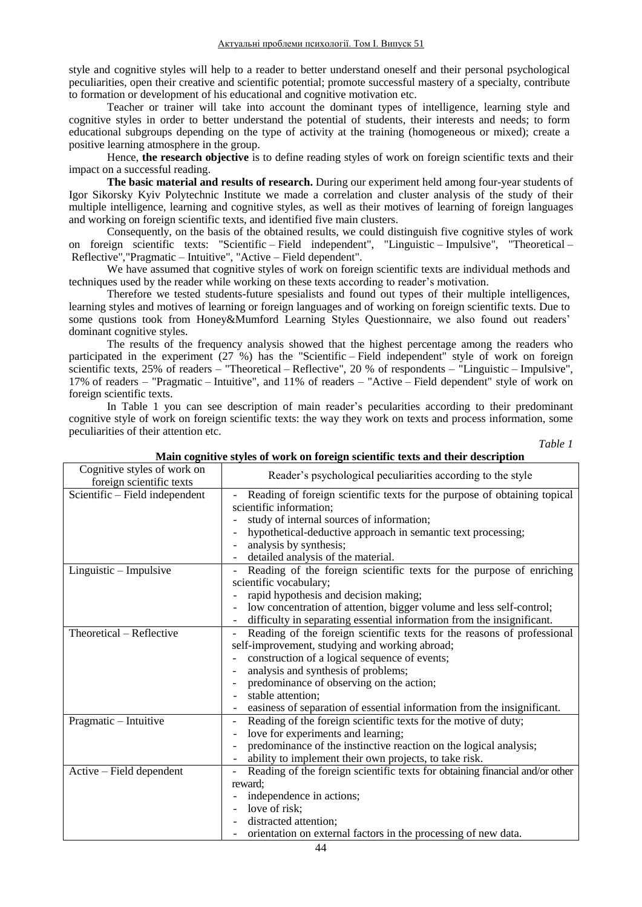style and cognitive styles will help to a reader to better understand oneself and their personal psychological peculiarities, open their creative and scientific potential; promote successful mastery of a specialty, contribute to formation or development of his educational and cognitive motivation etc.

Teacher or trainer will take into account the dominant types of intelligence, learning style and cognitive styles in order to better understand the potential of students, their interests and needs; to form educational subgroups depending on the type of activity at the training (homogeneous or mixed); create a positive learning atmosphere in the group.

Hence, **the research objective** is to define reading styles of work on foreign scientific texts and their impact on a successful reading.

**The basic material and results of research.** During our experiment held among four-year students of Igor Sikorsky Kyiv Polytechnic Institute we made a correlation and cluster analysis of the study of their multiple intelligence, learning and cognitive styles, as well as their motives of learning of foreign languages and working on foreign scientific texts, and identified five main clusters.

Consequently, on the basis of the obtained results, we could distinguish five cognitive styles of work on foreign scientific texts: "Scientific *–* Field independent", "Linguistic *–* Impulsive", "Theoretical *–* Reflective","Pragmatic *–* Intuitive", "Active *–* Field dependent".

We have assumed that cognitive styles of work on foreign scientific texts are individual methods and techniques used by the reader while working on these texts according to reader's motivation.

Therefore we tested students-future spesialists and found out types of their multiple intelligences, learning styles and motives of learning or foreign languages and of working on foreign scientific texts. Due to some qustions took from Honey&Mumford Learning Styles Questionnaire, we also found out readers' dominant cognitive styles.

The results of the frequency analysis showed that the highest percentage among the readers who participated in the experiment (27 %) has the "Scientific *–* Field independent" style of work on foreign scientific texts, 25% of readers – "Theoretical – Reflective", 20 % of respondents – "Linguistic – Impulsive", 17% of readers *–* "Pragmatic *–* Intuitive", and 11% of readers *–* "Active *–* Field dependent" style of work on foreign scientific texts.

In Table 1 you can see description of main reader's pecularities according to their predominant cognitive style of work on foreign scientific texts: the way they work on texts and process information, some peculiarities of their attention etc.

*Table 1*

| Cognitive styles of work on<br>foreign scientific texts | Reader's psychological peculiarities according to the style                  |
|---------------------------------------------------------|------------------------------------------------------------------------------|
| Scientific – Field independent                          | Reading of foreign scientific texts for the purpose of obtaining topical     |
|                                                         | scientific information;                                                      |
|                                                         | study of internal sources of information;                                    |
|                                                         | hypothetical-deductive approach in semantic text processing;                 |
|                                                         | analysis by synthesis;                                                       |
|                                                         | detailed analysis of the material.                                           |
| $Linguistic - Impulsive$                                | Reading of the foreign scientific texts for the purpose of enriching         |
|                                                         | scientific vocabulary;                                                       |
|                                                         | rapid hypothesis and decision making;                                        |
|                                                         | low concentration of attention, bigger volume and less self-control;         |
|                                                         | difficulty in separating essential information from the insignificant.       |
| Theoretical - Reflective                                | Reading of the foreign scientific texts for the reasons of professional      |
|                                                         | self-improvement, studying and working abroad;                               |
|                                                         | construction of a logical sequence of events;                                |
|                                                         | analysis and synthesis of problems;                                          |
|                                                         | predominance of observing on the action;                                     |
|                                                         | stable attention;                                                            |
|                                                         | easiness of separation of essential information from the insignificant.      |
| Pragmatic - Intuitive                                   | Reading of the foreign scientific texts for the motive of duty;              |
|                                                         | love for experiments and learning;                                           |
|                                                         | predominance of the instinctive reaction on the logical analysis;            |
|                                                         | ability to implement their own projects, to take risk.                       |
| Active – Field dependent                                | Reading of the foreign scientific texts for obtaining financial and/or other |
|                                                         | reward:                                                                      |
|                                                         | independence in actions;                                                     |
|                                                         | love of risk;                                                                |
|                                                         | distracted attention;                                                        |
|                                                         | orientation on external factors in the processing of new data.               |

# **Main cognitive styles of work on foreign scientific texts and their description**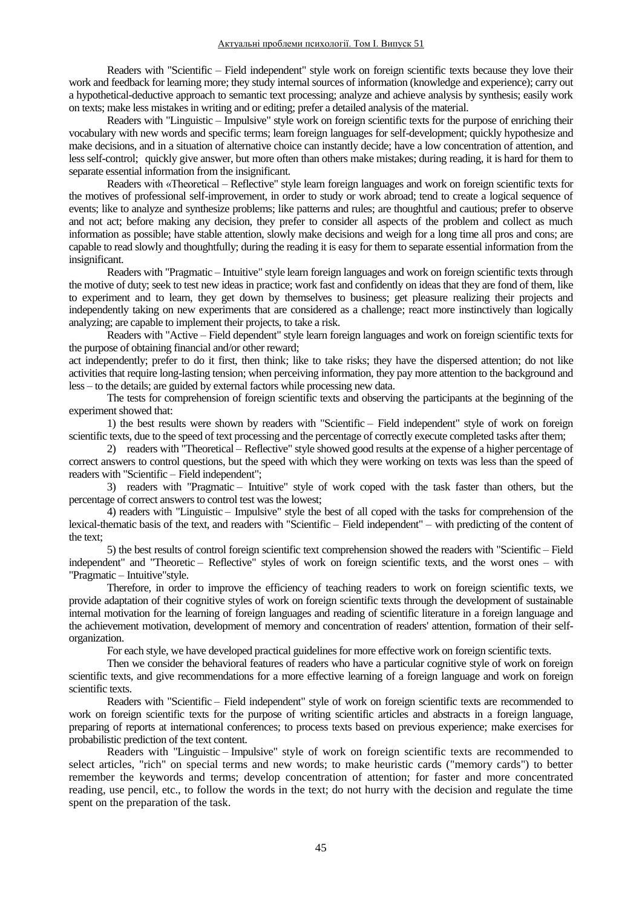Readers with "Scientific – Field independent" style work on foreign scientific texts because they love their work and feedback for learning more; they study internal sources of information (knowledge and experience); carry out a hypothetical-deductive approach to semantic text processing; analyze and achieve analysis by synthesis; easily work on texts; make less mistakes in writing and or editing; prefer a detailed analysis of the material.

Readers with "Linguistic – Impulsive" style work on foreign scientific texts for the purpose of enriching their vocabulary with new words and specific terms; learn foreign languages for self-development; quickly hypothesize and make decisions, and in a situation of alternative choice can instantly decide; have a low concentration of attention, and less self-control; quickly give answer, but more often than others make mistakes; during reading, it is hard for them to separate essential information from the insignificant.

Readers with «Theoretical – Reflective" style learn foreign languages and work on foreign scientific texts for the motives of professional self-improvement, in order to study or work abroad; tend to create a logical sequence of events; like to analyze and synthesize problems; like patterns and rules; are thoughtful and cautious; prefer to observe and not act; before making any decision, they prefer to consider all aspects of the problem and collect as much information as possible; have stable attention, slowly make decisions and weigh for a long time all pros and cons; are capable to read slowly and thoughtfully; during the reading it is easy for them to separate essential information from the insignificant.

Readers with "Pragmatic – Intuitive" style learn foreign languages and work on foreign scientific texts through the motive of duty; seek to test new ideas in practice; work fast and confidently on ideas that they are fond of them, like to experiment and to learn, they get down by themselves to business; get pleasure realizing their projects and independently taking on new experiments that are considered as a challenge; react more instinctively than logically analyzing; are capable to implement their projects, to take a risk.

Readers with "Active – Field dependent" style learn foreign languages and work on foreign scientific texts for the purpose of obtaining financial and/or other reward;

act independently; prefer to do it first, then think; like to take risks; they have the dispersed attention; do not like activities that require long-lasting tension; when perceiving information, they pay more attention to the background and less – to the details; are guided by external factors while processing new data.

The tests for comprehension of foreign scientific texts and observing the participants at the beginning of the experiment showed that:

1) the best results were shown by readers with "Scientific *–* Field independent" style of work on foreign scientific texts, due to the speed of text processing and the percentage of correctly execute completed tasks after them;

2) readers with "Theoretical *–* Reflective" style showed good results at the expense of a higher percentage of correct answers to control questions, but the speed with which they were working on texts was less than the speed of readers with "Scientific *–* Field independent";

3) readers with "Pragmatic *–* Intuitive" style of work coped with the task faster than others, but the percentage of correct answers to control test was the lowest;

4) readers with "Linguistic *–* Impulsive" style the best of all coped with the tasks for comprehension of the lexical-thematic basis of the text, and readers with "Scientific *–* Field independent" *–* with predicting of the content of the text;

5) the best results of control foreign scientific text comprehension showed the readers with "Scientific *–* Field independent" and "Theoretic *–* Reflective" styles of work on foreign scientific texts, and the worst ones *–* with "Pragmatic *–* Intuitive"style.

Therefore, in order to improve the efficiency of teaching readers to work on foreign scientific texts, we provide adaptation of their cognitive styles of work on foreign scientific texts through the development of sustainable internal motivation for the learning of foreign languages and reading of scientific literature in a foreign language and the achievement motivation, development of memory and concentration of readers' attention, formation of their selforganization.

For each style, we have developed practical guidelines for more effective work on foreign scientific texts.

Then we consider the behavioral features of readers who have a particular cognitive style of work on foreign scientific texts, and give recommendations for a more effective learning of a foreign language and work on foreign scientific texts.

Readers with "Scientific *–* Field independent" style of work on foreign scientific texts are recommended to work on foreign scientific texts for the purpose of writing scientific articles and abstracts in a foreign language, preparing of reports at international conferences; to process texts based on previous experience; make exercises for probabilistic prediction of the text content.

Readers with "Linguistic *–* Impulsive" style of work on foreign scientific texts are recommended to select articles, "rich" on special terms and new words; to make heuristic cards ("memory cards") to better remember the keywords and terms; develop concentration of attention; for faster and more concentrated reading, use pencil, etc., to follow the words in the text; do not hurry with the decision and regulate the time spent on the preparation of the task.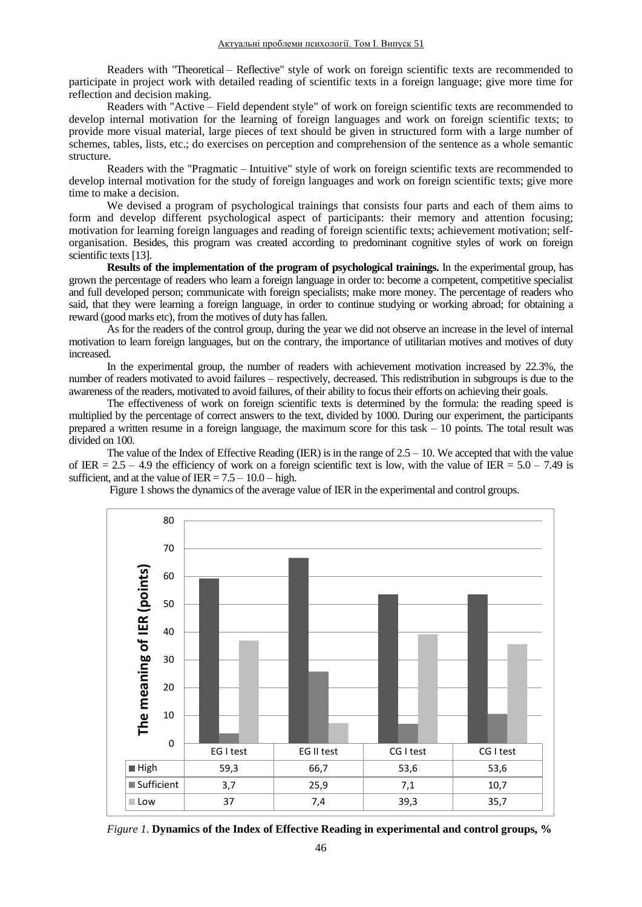Readers with "Theoretical *–* Reflective" style of work on foreign scientific texts are recommended to participate in project work with detailed reading of scientific texts in a foreign language; give more time for reflection and decision making.

Readers with "Active *–* Field dependent style" of work on foreign scientific texts are recommended to develop internal motivation for the learning of foreign languages and work on foreign scientific texts; to provide more visual material, large pieces of text should be given in structured form with a large number of schemes, tables, lists, etc.; do exercises on perception and comprehension of the sentence as a whole semantic structure.

Readers with the "Pragmatic *–* Intuitive" style of work on foreign scientific texts are recommended to develop internal motivation for the study of foreign languages and work on foreign scientific texts; give more time to make a decision.

We devised a program of psychological trainings that consists four parts and each of them aims to form and develop different psychological aspect of participants: their memory and attention focusing; motivation for learning foreign languages and reading of foreign scientific texts; achievement motivation; selforganisation. Besides, this program was created according to predominant cognitive styles of work on foreign scientific texts [13].

**Results of the implementation of the program of psychological trainings.** In the experimental group, has grown the percentage of readers who learn a foreign language in order to: become a competent, competitive specialist and full developed person; communicate with foreign specialists; make more money. The percentage of readers who said, that they were learning a foreign language, in order to continue studying or working abroad; for obtaining a reward (good marks etc), from the motives of duty has fallen.

As for the readers of the control group, during the year we did not observe an increase in the level of internal motivation to learn foreign languages, but on the contrary, the importance of utilitarian motives and motives of duty increased.

In the experimental group, the number of readers with achievement motivation increased by 22.3%, the number of readers motivated to avoid failures *–* respectively, decreased. This redistribution in subgroups is due to the awareness of the readers, motivated to avoid failures, of their ability to focus their efforts on achieving their goals.

The effectiveness of work on foreign scientific texts is determined by the formula: the reading speed is multiplied by the percentage of correct answers to the text, divided by 1000. During our experiment, the participants prepared a written resume in a foreign language, the maximum score for this task *–* 10 points. The total result was divided on 100.

The value of the Index of Effective Reading (IER) is in the range of 2.5 *–* 10. We accepted that with the value of IER =  $2.5 - 4.9$  the efficiency of work on a foreign scientific text is low, with the value of IER =  $5.0 - 7.49$  is sufficient, and at the value of  $IER = 7.5 - 10.0 - high$ .





*Figure 1.* **Dynamics of the Index of Effective Reading in experimental and control groups, %**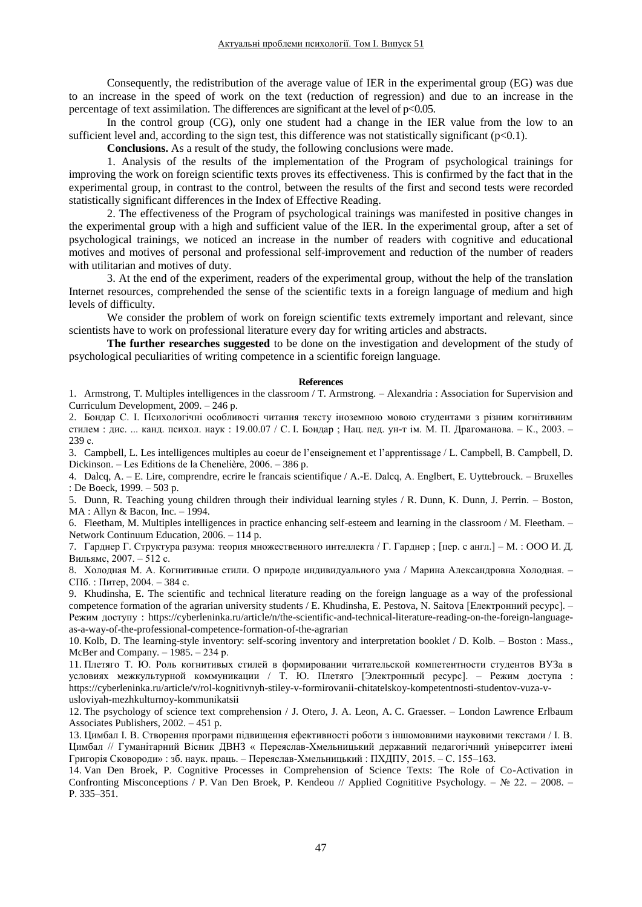Consequently, the redistribution of the average value of IER in the experimental group (EG) was due to an increase in the speed of work on the text (reduction of regression) and due to an increase in the percentage of text assimilation. The differences are significant at the level of  $p<0.05$ .

In the control group (CG), only one student had a change in the IER value from the low to an sufficient level and, according to the sign test, this difference was not statistically significant  $(p<0.1)$ .

**Conclusions.** As a result of the study, the following conclusions were made.

1. Analysis of the results of the implementation of the Program of psychological trainings for improving the work on foreign scientific texts proves its effectiveness. This is confirmed by the fact that in the experimental group, in contrast to the control, between the results of the first and second tests were recorded statistically significant differences in the Index of Effective Reading.

2. The effectiveness of the Program of psychological trainings was manifested in positive changes in the experimental group with a high and sufficient value of the IER. In the experimental group, after a set of psychological trainings, we noticed an increase in the number of readers with cognitive and educational motives and motives of personal and professional self-improvement and reduction of the number of readers with utilitarian and motives of duty.

3. At the end of the experiment, readers of the experimental group, without the help of the translation Internet resources, comprehended the sense of the scientific texts in a foreign language of medium and high levels of difficulty.

We consider the problem of work on foreign scientific texts extremely important and relevant, since scientists have to work on professional literature every day for writing articles and abstracts.

**The further researches suggested** to be done on the investigation and development of the study of psychological peculiarities of writing competence in a scientific foreign language.

## **References**

1. Armstrong, T. Multiples intelligences in the classroom / T. Armstrong. – Alexandria : Association for Supervision and Curriculum Development, 2009. – 246 p.

2. Бондар С. І. Психологічні особливості читання тексту іноземною мовою студентами з різним когнітивним стилем : дис. ... канд. психол. наук : 19.00.07 / С. І. Бондар ; Нац. пед. ун-т ім. М. П. Драгоманова. – К., 2003. – 239 с.

3. Campbell, L. Les intelligences multiples au coeur de l'enseignement et l'apprentissage / L. Campbell, B. Campbell, D. Dickinson. – Les Editions de la Chenelière, 2006. – 386 p.

4. Dalcq, A. – E. Lire, comprendre, ecrire le francais scientifique / A.-E. Dalcq, A. Englbert, E. Uyttebrouck. – Bruxelles : De Boeck, 1999. – 503 p.

5. Dunn, R. Teaching young children through their individual learning styles / R. Dunn, K. Dunn, J. Perrin. – Boston, MA : Allyn & Bacon, Inc. – 1994.

6. Fleetham, M. Multiples intelligences in practice enhancing self-esteem and learning in the classroom / M. Fleetham. – Network Continuum Education, 2006. – 114 p.

7. Гарднер Г. Структура разума: теория множественного интеллекта / Г. Гарднер ; [пер. с англ.] – М. : ООО И. Д. Вильямс, 2007. – 512 с.

8. Холодная М. А. Когнитивные стили. О природе индивидуального ума / Марина Александровна Холодная. – СПб. : Питер, 2004. – 384 с.

9. Khudinsha, E. The scientific and technical literature reading on the foreign language as a way of the professional competence formation of the agrarian university students / E. Khudinsha, E. Pestova, N. Saitova [Електронний ресурс]. – Режим доступу : https://cyberleninka.ru/article/n/the-scientific-and-technical-literature-reading-on-the-foreign-languageas-a-way-of-the-professional-competence-formation-of-the-agrarian

10. Kolb, D. The learning-style inventory: self-scoring inventory and interpretation booklet / D. Kolb. – Boston : Mass., McBer and Company. – 1985. – 234 р.

11. Плетяго Т. Ю. Роль когнитивых стилей в формировании читательской компетентности студентов ВУЗа в условиях межкультурной коммуникации / Т. Ю. Плетяго [Электронный ресурс]. – Режим доступа : [https://cyberleninka.ru/article/v/rol-kognitivnyh-stiley-v-formirovanii-chitatelskoy-kompetentnosti-studentov-vuza-v](https://cyberleninka.ru/article/v/rol-kognitivnyh-stiley-v-formirovanii-chitatelskoy-kompetentnosti-studentov-vuza-v-usloviyah-mezhkulturnoy-kommunikatsii)[usloviyah-mezhkulturnoy-kommunikatsii](https://cyberleninka.ru/article/v/rol-kognitivnyh-stiley-v-formirovanii-chitatelskoy-kompetentnosti-studentov-vuza-v-usloviyah-mezhkulturnoy-kommunikatsii)

12. The psychology of science text comprehension / J. Otero, J. A. Leon, A. C. Graesser. – London Lawrence Erlbaum Associates Publishers, 2002. – 451 p.

13. Цимбал І. В. Створення програми підвищення ефективності роботи з іншомовними науковими текстами / І. В. Цимбал // Гуманітарний Вісник ДВНЗ « Переяслав-Хмельницький державний педагогічний університет імені Григорія Сковороди» : зб. наук. праць. – Переяслав-Хмельницький : ПХДПУ, 2015. – С. 155–163.

14. Van Den Broek, P. Cognitive Processes in Comprehension of Science Texts: The Role of Co-Activation in Confronting Misconceptions / P. Van Den Broek, P. Kendeou // Applied Cognititive Psychology. – № 22. – 2008. – P. 335–351.